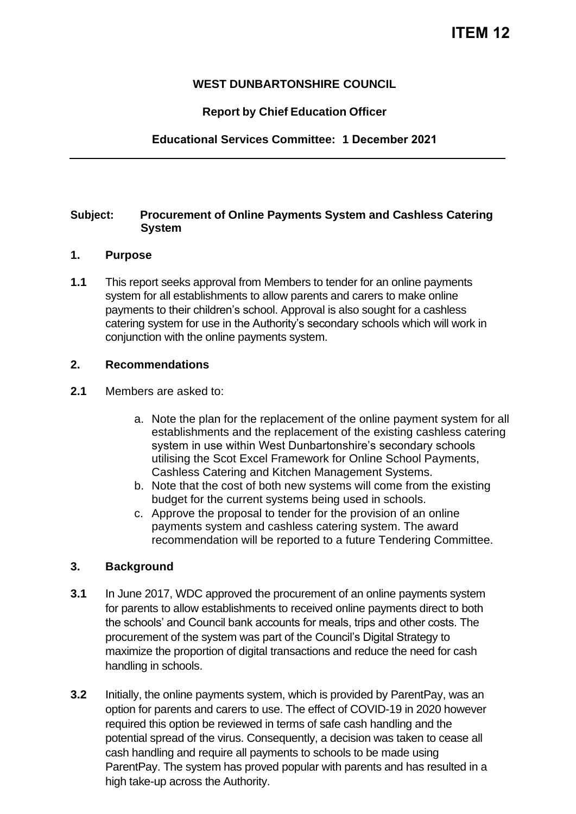## **WEST DUNBARTONSHIRE COUNCIL**

## **Report by Chief Education Officer**

**Educational Services Committee: 1 December 2021**

#### **Subject: Procurement of Online Payments System and Cashless Catering System**

## **1. Purpose**

**1.1** This report seeks approval from Members to tender for an online payments system for all establishments to allow parents and carers to make online payments to their children's school. Approval is also sought for a cashless catering system for use in the Authority's secondary schools which will work in conjunction with the online payments system.

### **2. Recommendations**

- **2.1** Members are asked to:
	- a. Note the plan for the replacement of the online payment system for all establishments and the replacement of the existing cashless catering system in use within West Dunbartonshire's secondary schools utilising the Scot Excel Framework for Online School Payments, Cashless Catering and Kitchen Management Systems.
	- b. Note that the cost of both new systems will come from the existing budget for the current systems being used in schools.
	- c. Approve the proposal to tender for the provision of an online payments system and cashless catering system. The award recommendation will be reported to a future Tendering Committee.

### **3. Background**

- **3.1** In June 2017, WDC approved the procurement of an online payments system for parents to allow establishments to received online payments direct to both the schools' and Council bank accounts for meals, trips and other costs. The procurement of the system was part of the Council's Digital Strategy to maximize the proportion of digital transactions and reduce the need for cash handling in schools.
- **3.2** Initially, the online payments system, which is provided by ParentPay, was an option for parents and carers to use. The effect of COVID-19 in 2020 however required this option be reviewed in terms of safe cash handling and the potential spread of the virus. Consequently, a decision was taken to cease all cash handling and require all payments to schools to be made using ParentPay. The system has proved popular with parents and has resulted in a high take-up across the Authority.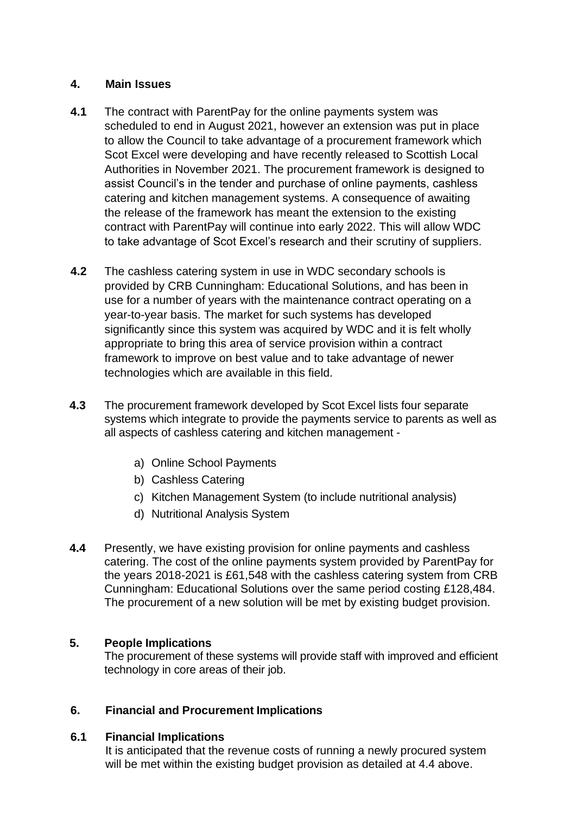## **4. Main Issues**

- **4.1** The contract with ParentPay for the online payments system was scheduled to end in August 2021, however an extension was put in place to allow the Council to take advantage of a procurement framework which Scot Excel were developing and have recently released to Scottish Local Authorities in November 2021. The procurement framework is designed to assist Council's in the tender and purchase of online payments, cashless catering and kitchen management systems. A consequence of awaiting the release of the framework has meant the extension to the existing contract with ParentPay will continue into early 2022. This will allow WDC to take advantage of Scot Excel's research and their scrutiny of suppliers.
- **4.2** The cashless catering system in use in WDC secondary schools is provided by CRB Cunningham: Educational Solutions, and has been in use for a number of years with the maintenance contract operating on a year-to-year basis. The market for such systems has developed significantly since this system was acquired by WDC and it is felt wholly appropriate to bring this area of service provision within a contract framework to improve on best value and to take advantage of newer technologies which are available in this field.
- **4.3** The procurement framework developed by Scot Excel lists four separate systems which integrate to provide the payments service to parents as well as all aspects of cashless catering and kitchen management
	- a) Online School Payments
	- b) Cashless Catering
	- c) Kitchen Management System (to include nutritional analysis)
	- d) Nutritional Analysis System
- **4.4** Presently, we have existing provision for online payments and cashless catering. The cost of the online payments system provided by ParentPay for the years 2018-2021 is £61,548 with the cashless catering system from CRB Cunningham: Educational Solutions over the same period costing £128,484. The procurement of a new solution will be met by existing budget provision.

### **5. People Implications**

The procurement of these systems will provide staff with improved and efficient technology in core areas of their job.

# **6. Financial and Procurement Implications**

### **6.1 Financial Implications**

It is anticipated that the revenue costs of running a newly procured system will be met within the existing budget provision as detailed at 4.4 above.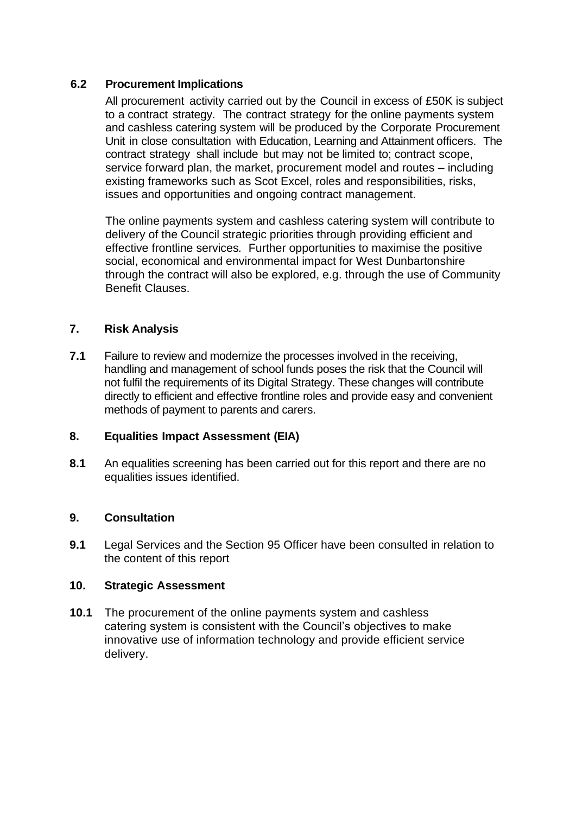## **6.2 Procurement Implications**

All procurement activity carried out by the Council in excess of £50K is subject to a contract strategy. The contract strategy for the online payments system and cashless catering system will be produced by the Corporate Procurement Unit in close consultation with Education, Learning and Attainment officers. The contract strategy shall include but may not be limited to; contract scope, service forward plan, the market, procurement model and routes – including existing frameworks such as Scot Excel, roles and responsibilities, risks, issues and opportunities and ongoing contract management.

The online payments system and cashless catering system will contribute to delivery of the Council strategic priorities through providing efficient and effective frontline services*.* Further opportunities to maximise the positive social, economical and environmental impact for West Dunbartonshire through the contract will also be explored, e.g. through the use of Community Benefit Clauses.

## **7. Risk Analysis**

**7.1** Failure to review and modernize the processes involved in the receiving, handling and management of school funds poses the risk that the Council will not fulfil the requirements of its Digital Strategy. These changes will contribute directly to efficient and effective frontline roles and provide easy and convenient methods of payment to parents and carers.

### **8. Equalities Impact Assessment (EIA)**

**8.1** An equalities screening has been carried out for this report and there are no equalities issues identified.

### **9. Consultation**

**9.1** Legal Services and the Section 95 Officer have been consulted in relation to the content of this report

### **10. Strategic Assessment**

**10.1** The procurement of the online payments system and cashless catering system is consistent with the Council's objectives to make innovative use of information technology and provide efficient service delivery.